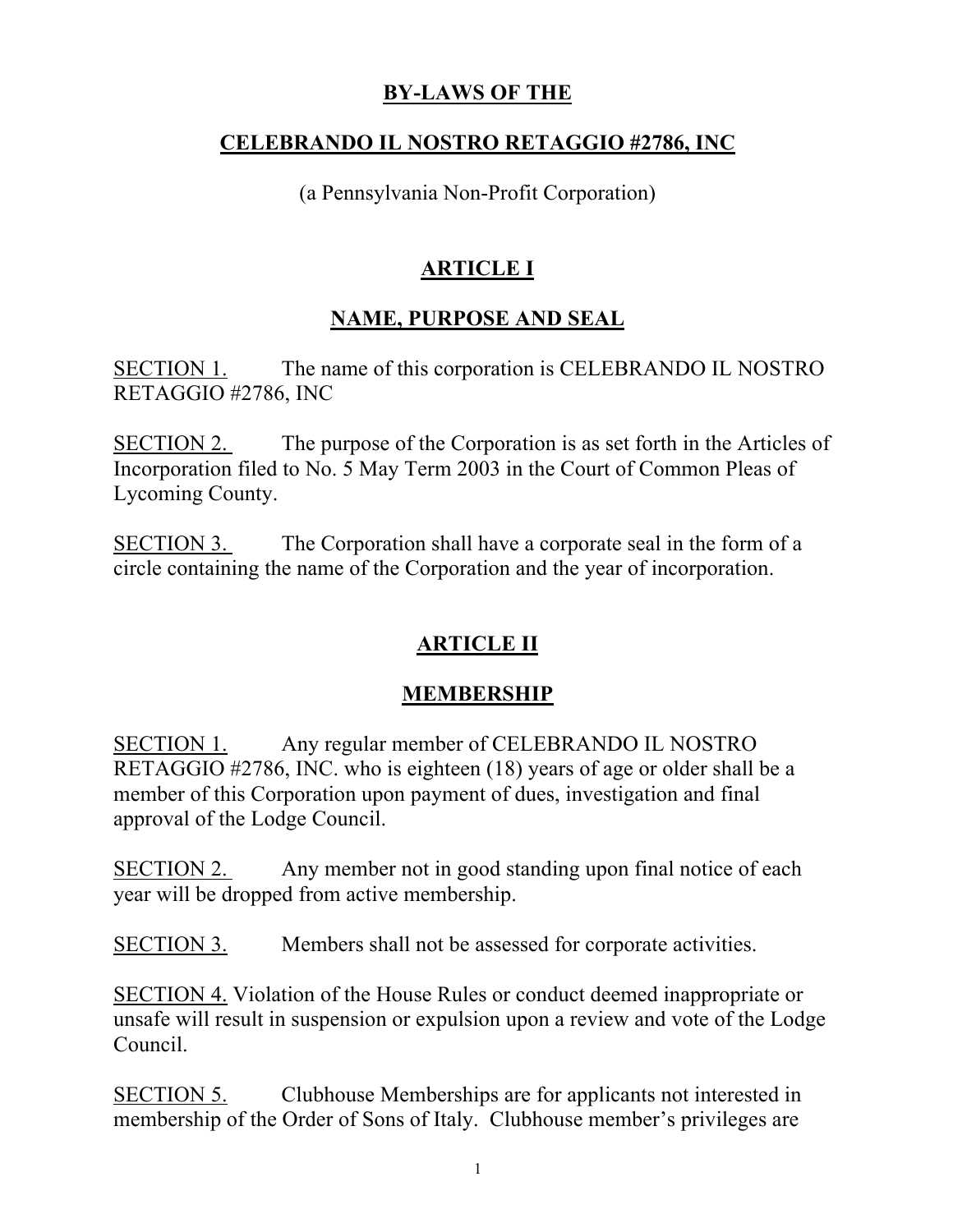#### **BY-LAWS OF THE**

#### **CELEBRANDO IL NOSTRO RETAGGIO #2786, INC**

(a Pennsylvania Non-Profit Corporation)

### **ARTICLE I**

# **NAME, PURPOSE AND SEAL**

SECTION 1. The name of this corporation is CELEBRANDO IL NOSTRO RETAGGIO #2786, INC

SECTION 2. The purpose of the Corporation is as set forth in the Articles of Incorporation filed to No. 5 May Term 2003 in the Court of Common Pleas of Lycoming County.

SECTION 3. The Corporation shall have a corporate seal in the form of a circle containing the name of the Corporation and the year of incorporation.

# **ARTICLE II**

#### **MEMBERSHIP**

SECTION 1. Any regular member of CELEBRANDO IL NOSTRO RETAGGIO #2786, INC. who is eighteen (18) years of age or older shall be a member of this Corporation upon payment of dues, investigation and final approval of the Lodge Council.

SECTION 2. Any member not in good standing upon final notice of each year will be dropped from active membership.

SECTION 3. Members shall not be assessed for corporate activities.

SECTION 4. Violation of the House Rules or conduct deemed inappropriate or unsafe will result in suspension or expulsion upon a review and vote of the Lodge Council.

SECTION 5. Clubhouse Memberships are for applicants not interested in membership of the Order of Sons of Italy. Clubhouse member's privileges are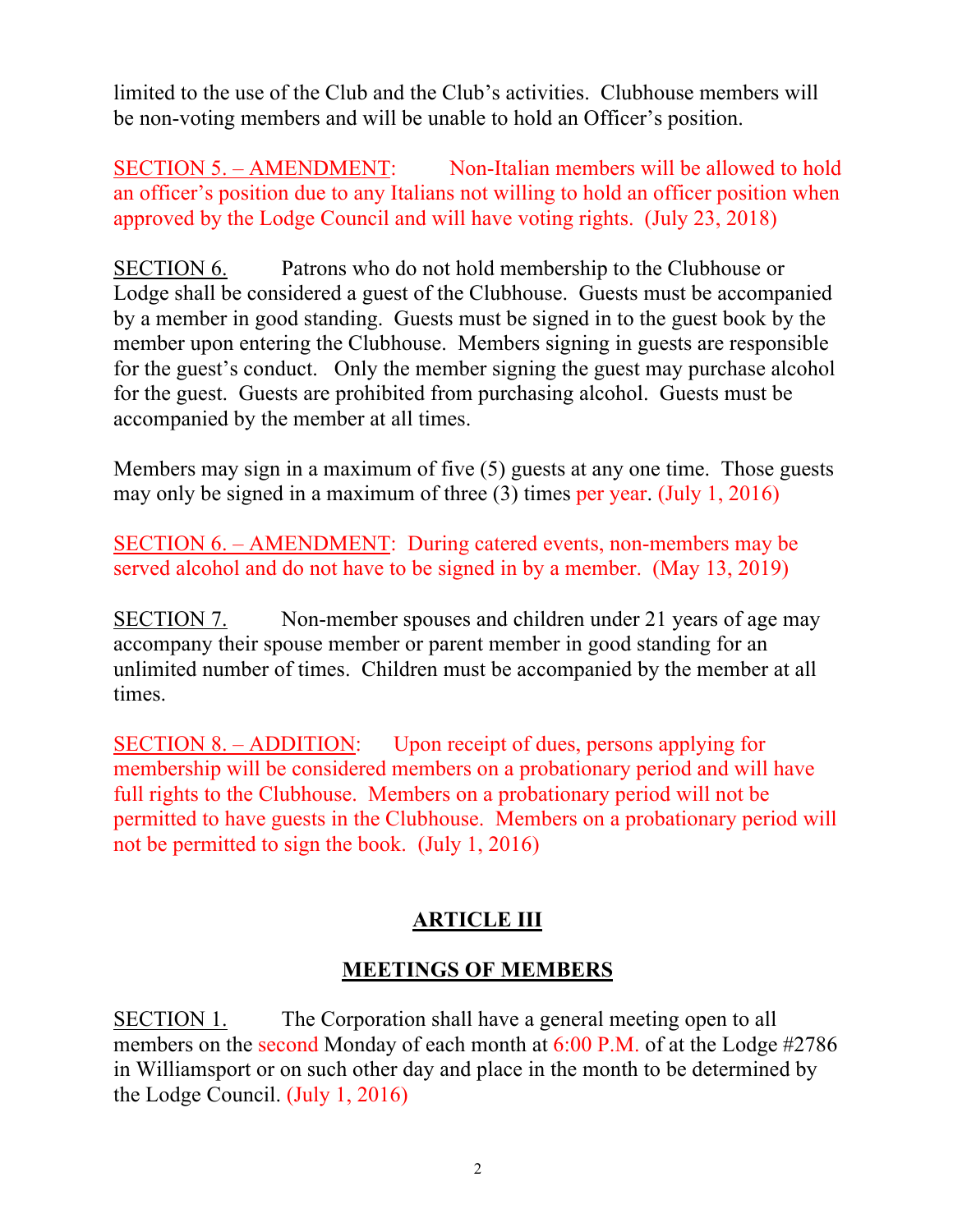limited to the use of the Club and the Club's activities. Clubhouse members will be non-voting members and will be unable to hold an Officer's position.

SECTION 5. – AMENDMENT: Non-Italian members will be allowed to hold an officer's position due to any Italians not willing to hold an officer position when approved by the Lodge Council and will have voting rights. (July 23, 2018)

SECTION 6. Patrons who do not hold membership to the Clubhouse or Lodge shall be considered a guest of the Clubhouse. Guests must be accompanied by a member in good standing. Guests must be signed in to the guest book by the member upon entering the Clubhouse. Members signing in guests are responsible for the guest's conduct. Only the member signing the guest may purchase alcohol for the guest. Guests are prohibited from purchasing alcohol. Guests must be accompanied by the member at all times.

Members may sign in a maximum of five (5) guests at any one time. Those guests may only be signed in a maximum of three (3) times per year. (July 1, 2016)

SECTION 6. – AMENDMENT: During catered events, non-members may be served alcohol and do not have to be signed in by a member. (May 13, 2019)

SECTION 7. Non-member spouses and children under 21 years of age may accompany their spouse member or parent member in good standing for an unlimited number of times. Children must be accompanied by the member at all times.

SECTION 8. – ADDITION: Upon receipt of dues, persons applying for membership will be considered members on a probationary period and will have full rights to the Clubhouse. Members on a probationary period will not be permitted to have guests in the Clubhouse. Members on a probationary period will not be permitted to sign the book. (July 1, 2016)

# **ARTICLE III**

# **MEETINGS OF MEMBERS**

SECTION 1. The Corporation shall have a general meeting open to all members on the second Monday of each month at 6:00 P.M. of at the Lodge #2786 in Williamsport or on such other day and place in the month to be determined by the Lodge Council. (July 1, 2016)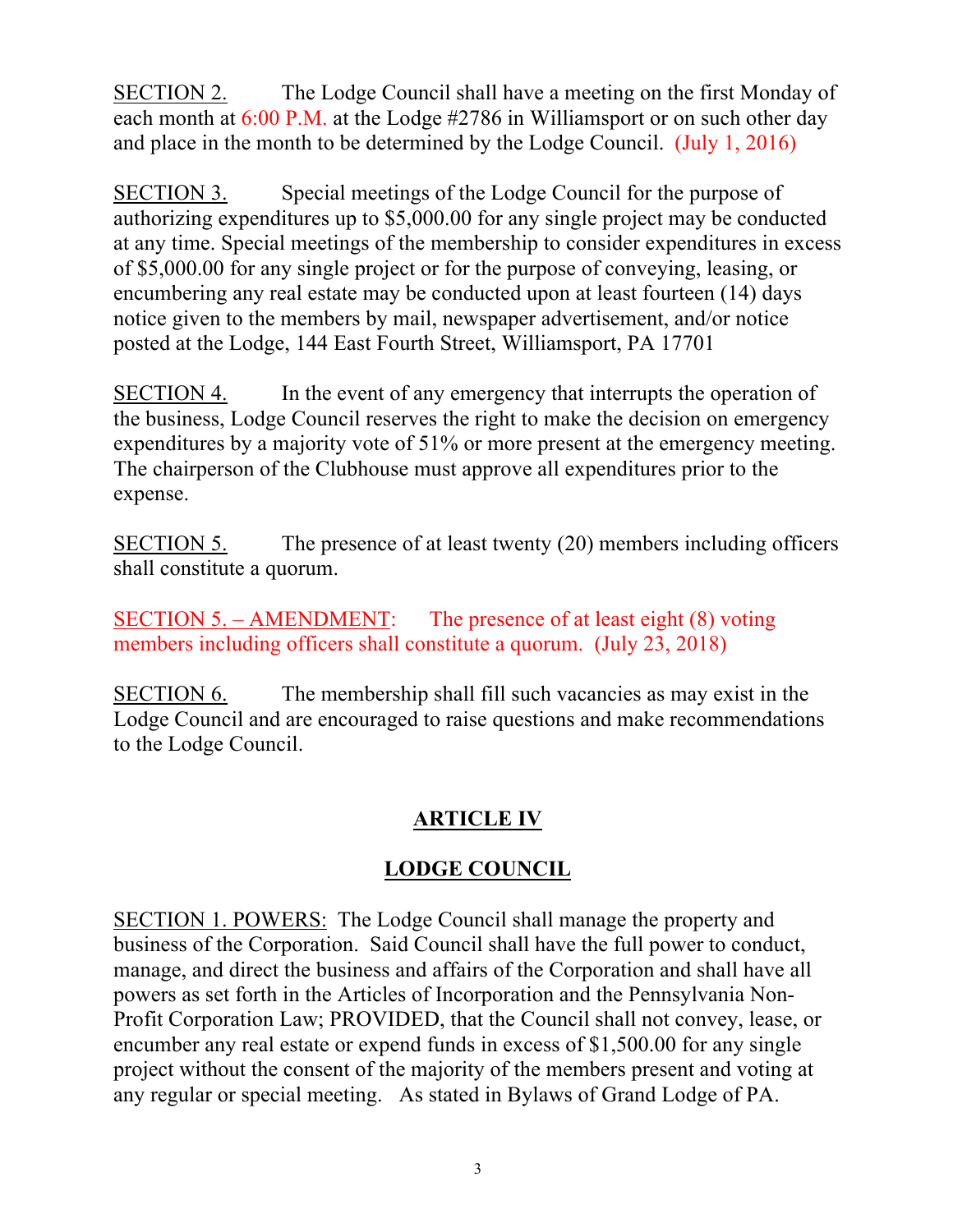SECTION 2. The Lodge Council shall have a meeting on the first Monday of each month at  $6:00$  P.M. at the Lodge #2786 in Williamsport or on such other day and place in the month to be determined by the Lodge Council. (July 1, 2016)

SECTION 3. Special meetings of the Lodge Council for the purpose of authorizing expenditures up to \$5,000.00 for any single project may be conducted at any time. Special meetings of the membership to consider expenditures in excess of \$5,000.00 for any single project or for the purpose of conveying, leasing, or encumbering any real estate may be conducted upon at least fourteen (14) days notice given to the members by mail, newspaper advertisement, and/or notice posted at the Lodge, 144 East Fourth Street, Williamsport, PA 17701

SECTION 4. In the event of any emergency that interrupts the operation of the business, Lodge Council reserves the right to make the decision on emergency expenditures by a majority vote of 51% or more present at the emergency meeting. The chairperson of the Clubhouse must approve all expenditures prior to the expense.

SECTION 5. The presence of at least twenty (20) members including officers shall constitute a quorum.

SECTION 5. – AMENDMENT: The presence of at least eight (8) voting members including officers shall constitute a quorum. (July 23, 2018)

SECTION 6. The membership shall fill such vacancies as may exist in the Lodge Council and are encouraged to raise questions and make recommendations to the Lodge Council.

# **ARTICLE IV**

# **LODGE COUNCIL**

SECTION 1. POWERS: The Lodge Council shall manage the property and business of the Corporation. Said Council shall have the full power to conduct, manage, and direct the business and affairs of the Corporation and shall have all powers as set forth in the Articles of Incorporation and the Pennsylvania Non-Profit Corporation Law; PROVIDED, that the Council shall not convey, lease, or encumber any real estate or expend funds in excess of \$1,500.00 for any single project without the consent of the majority of the members present and voting at any regular or special meeting. As stated in Bylaws of Grand Lodge of PA.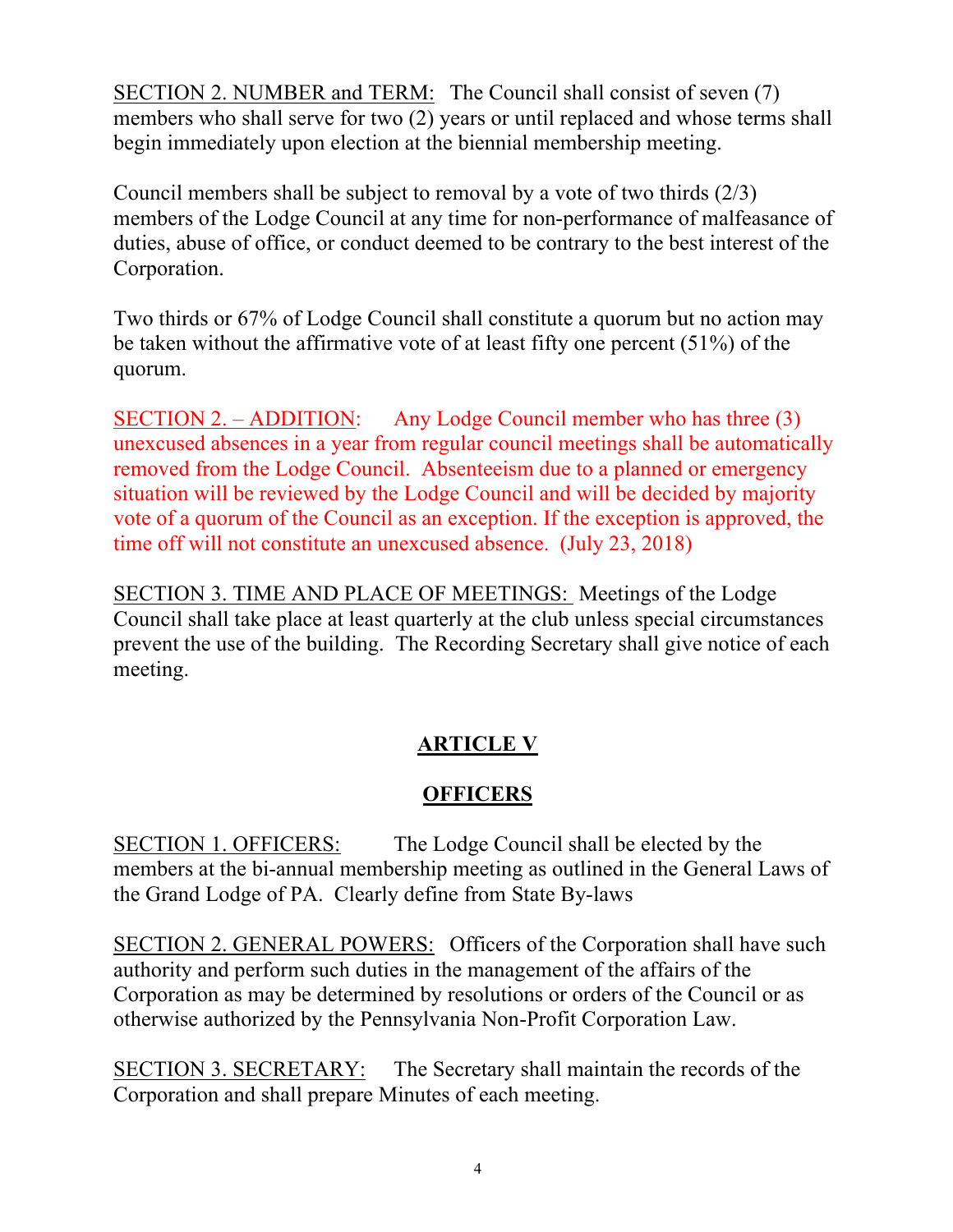SECTION 2. NUMBER and TERM: The Council shall consist of seven (7) members who shall serve for two (2) years or until replaced and whose terms shall begin immediately upon election at the biennial membership meeting.

Council members shall be subject to removal by a vote of two thirds (2/3) members of the Lodge Council at any time for non-performance of malfeasance of duties, abuse of office, or conduct deemed to be contrary to the best interest of the Corporation.

Two thirds or 67% of Lodge Council shall constitute a quorum but no action may be taken without the affirmative vote of at least fifty one percent (51%) of the quorum.

SECTION 2. – ADDITION: Any Lodge Council member who has three (3) unexcused absences in a year from regular council meetings shall be automatically removed from the Lodge Council. Absenteeism due to a planned or emergency situation will be reviewed by the Lodge Council and will be decided by majority vote of a quorum of the Council as an exception. If the exception is approved, the time off will not constitute an unexcused absence. (July 23, 2018)

SECTION 3. TIME AND PLACE OF MEETINGS: Meetings of the Lodge Council shall take place at least quarterly at the club unless special circumstances prevent the use of the building. The Recording Secretary shall give notice of each meeting.

# **ARTICLE V**

# **OFFICERS**

SECTION 1. OFFICERS: The Lodge Council shall be elected by the members at the bi-annual membership meeting as outlined in the General Laws of the Grand Lodge of PA. Clearly define from State By-laws

SECTION 2. GENERAL POWERS: Officers of the Corporation shall have such authority and perform such duties in the management of the affairs of the Corporation as may be determined by resolutions or orders of the Council or as otherwise authorized by the Pennsylvania Non-Profit Corporation Law.

SECTION 3. SECRETARY: The Secretary shall maintain the records of the Corporation and shall prepare Minutes of each meeting.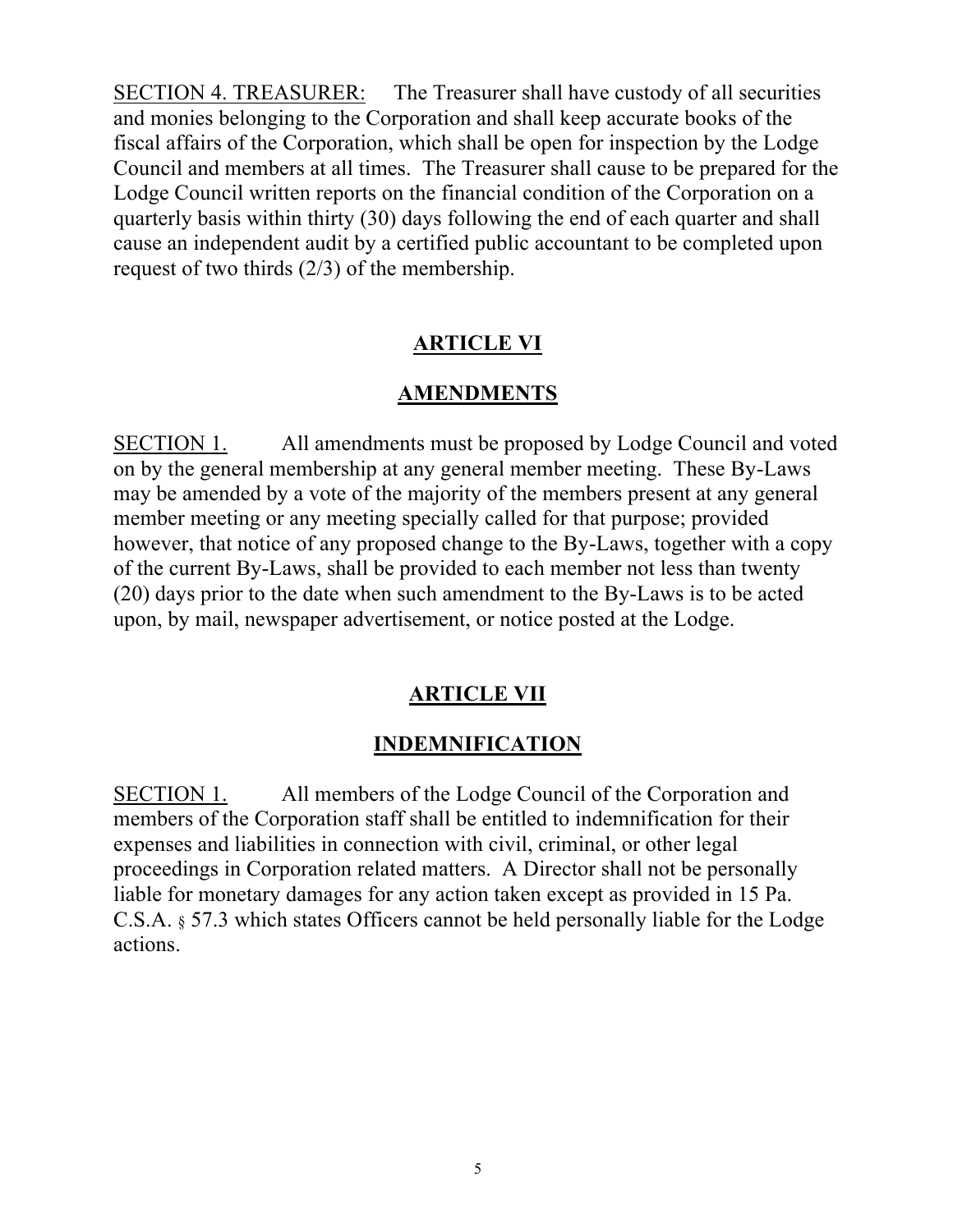SECTION 4. TREASURER: The Treasurer shall have custody of all securities and monies belonging to the Corporation and shall keep accurate books of the fiscal affairs of the Corporation, which shall be open for inspection by the Lodge Council and members at all times. The Treasurer shall cause to be prepared for the Lodge Council written reports on the financial condition of the Corporation on a quarterly basis within thirty (30) days following the end of each quarter and shall cause an independent audit by a certified public accountant to be completed upon request of two thirds (2/3) of the membership.

#### **ARTICLE VI**

#### **AMENDMENTS**

SECTION 1. All amendments must be proposed by Lodge Council and voted on by the general membership at any general member meeting. These By-Laws may be amended by a vote of the majority of the members present at any general member meeting or any meeting specially called for that purpose; provided however, that notice of any proposed change to the By-Laws, together with a copy of the current By-Laws, shall be provided to each member not less than twenty (20) days prior to the date when such amendment to the By-Laws is to be acted upon, by mail, newspaper advertisement, or notice posted at the Lodge.

#### **ARTICLE VII**

#### **INDEMNIFICATION**

SECTION 1. All members of the Lodge Council of the Corporation and members of the Corporation staff shall be entitled to indemnification for their expenses and liabilities in connection with civil, criminal, or other legal proceedings in Corporation related matters. A Director shall not be personally liable for monetary damages for any action taken except as provided in 15 Pa. C.S.A. § 57.3 which states Officers cannot be held personally liable for the Lodge actions.